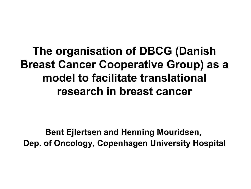**The organisation of DBCG (Danish Breast Cancer Cooperative Group) as a model to facilitate translational research in breast cancer**

**Bent Ejlertsen and Henning Mouridsen, Dep. of Oncology, Copenhagen University Hospital**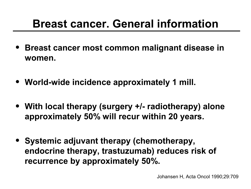## **Breast cancer. General information**

- **Breast cancer most common malignant disease in women.**
- **World-wide incidence approximately 1 mill.**
- **With local therapy (surgery +/- radiotherapy) alone approximately 50% will recur within 20 years.**
- **Systemic adjuvant therapy (chemotherapy, endocrine therapy, trastuzumab) reduces risk of recurrence by approximately 50%.**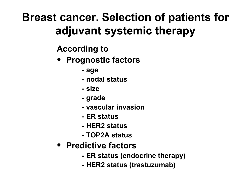## **Breast cancer. Selection of patients for adjuvant systemic therapy**

#### **According to**

- **Prognostic factors**
	- **age**
	- **nodal status**
	- **size**
	- **grade**
	- **vascular invasion**
	- **ER status**
	- **HER2 status**
	- **TOP2A status**
- **Predictive factors**
	- **ER status (endocrine therapy)**
	- **HER2 status (trastuzumab)**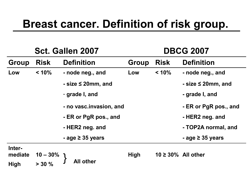## **Breast cancer. Definition of risk group.**

| Sct. Gallen 2007  |                       |                           | <b>DBCG 2007</b> |                          |                           |
|-------------------|-----------------------|---------------------------|------------------|--------------------------|---------------------------|
| <b>Group</b>      | <b>Risk</b>           | <b>Definition</b>         | <b>Group</b>     | <b>Risk</b>              | <b>Definition</b>         |
| Low               | < 10%                 | - node neg., and          | Low              | $< 10\%$                 | - node neg., and          |
|                   |                       | $-$ size $\leq$ 20mm, and |                  |                          | $-$ size $\leq$ 20mm, and |
|                   |                       | - grade I, and            |                  |                          | - grade I, and            |
|                   |                       | - no vasc.invasion, and   |                  |                          | - ER or PgR pos., and     |
|                   |                       | - ER or PgR pos., and     |                  |                          | - HER2 neg. and           |
|                   |                       | - HER2 neg. and           |                  |                          | - TOP2A normal, and       |
|                   |                       | - age $\geq$ 35 years     |                  |                          | - age $\geq$ 35 years     |
| Inter-<br>mediate |                       |                           | <b>High</b>      | $10 \geq 30\%$ All other |                           |
| <b>High</b>       | $10 - 30\%$<br>> 30 % | <b>All other</b>          |                  |                          |                           |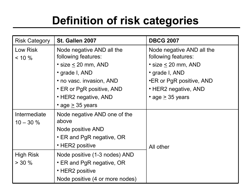# **Definition of risk categories**

| <b>Risk Category</b> | St. Gallen 2007                 | <b>DBCG 2007</b>                |
|----------------------|---------------------------------|---------------------------------|
| Low Risk             | Node negative AND all the       | Node negative AND all the       |
| $< 10 \%$            | following features:             | following features:             |
|                      | • size $\leq$ 20 mm, AND        | $\cdot$ size $\leq$ 20 mm, AND  |
|                      | · grade I, AND                  | • grade I, AND                  |
|                      | • no vasc. invasion, AND        | <b>•ER or PgR positive, AND</b> |
|                      | • ER or PgR positive, AND       | • HER2 negative, AND            |
|                      | • HER2 negative, AND            | • age $\geq$ 35 years           |
|                      | • age $\geq$ 35 years           |                                 |
| Intermediate         | Node negative AND one of the    |                                 |
| $10 - 30 \%$         | above                           |                                 |
|                      | Node positive AND               |                                 |
|                      | • ER and PgR negative, OR       |                                 |
|                      | • HER2 positive                 | All other                       |
| <b>High Risk</b>     | Node positive (1-3 nodes) AND   |                                 |
| $> 30 \%$            | • ER and PgR negative, OR       |                                 |
|                      | • HER2 positive                 |                                 |
|                      | Node positive (4 or more nodes) |                                 |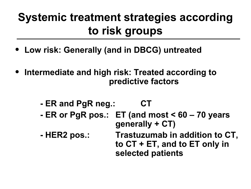# **Systemic treatment strategies according to risk groups**

- **Low risk: Generally (and in DBCG) untreated**
- **Intermediate and high risk: Treated according to predictive factors**
	- **ER and PgR neg.: CT**
	- **ER or PgR pos.: ET (and most < 60 70 years generally + CT)**
	- **HER2 pos.: Trastuzumab in addition to CT, to CT + ET, and to ET only in selected patients**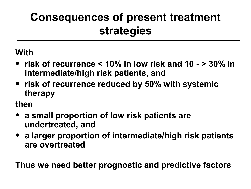## **Consequences of present treatment strategies**

**With**

- **risk of recurrence < 10% in low risk and 10 > 30% in intermediate/high risk patients, and**
- **risk of recurrence reduced by 50% with systemic therapy**

**then**

- **a small proportion of low risk patients are undertreated, and**
- **a larger proportion of intermediate/high risk patients are overtreated**

**Thus we need better prognostic and predictive factors**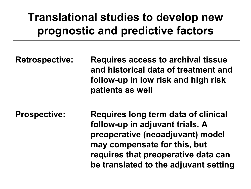## **Translational studies to develop new prognostic and predictive factors**

**Retrospective: Requires access to archival tissue and historical data of treatment and follow-up in low risk and high risk patients as well**

**Prospective: Requires long term data of clinical follow-up in adjuvant trials. A preoperative (neoadjuvant) model may compensate for this, but requires that preoperative data can be translated to the adjuvant setting**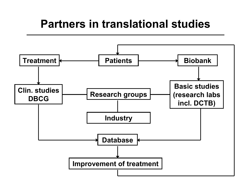#### **Partners in translational studies**

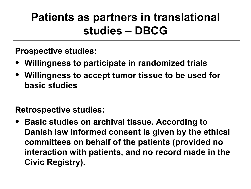## **Patients as partners in translational studies – DBCG**

**Prospective studies:**

- **Willingness to participate in randomized trials**
- **Willingness to accept tumor tissue to be used for basic studies**

**Retrospective studies:**

• **Basic studies on archival tissue. According to Danish law informed consent is given by the ethical committees on behalf of the patients (provided no interaction with patients, and no record made in the Civic Registry).**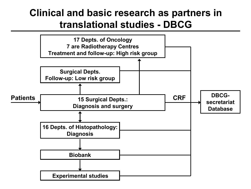#### **Clinical and basic research as partners in translational studies - DBCG**

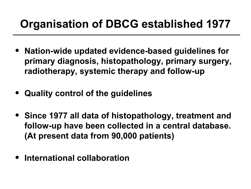## **Organisation of DBCG established 1977**

- **Nation-wide updated evidence-based guidelines for primary diagnosis, histopathology, primary surgery, radiotherapy, systemic therapy and follow-up**
- **Quality control of the guidelines**
- **Since 1977 all data of histopathology, treatment and follow-up have been collected in a central database. (At present data from 90,000 patients)**
- **International collaboration**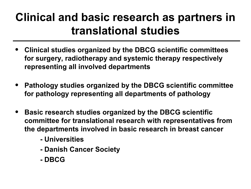## **Clinical and basic research as partners in translational studies**

- **Clinical studies organized by the DBCG scientific committees for surgery, radiotherapy and systemic therapy respectively representing all involved departments**
- **Pathology studies organized by the DBCG scientific committee for pathology representing all departments of pathology**
- **Basic research studies organized by the DBCG scientific committee for translational research with representatives from the departments involved in basic research in breast cancer**
	- **Universities**
	- **Danish Cancer Society**
	- **DBCG**